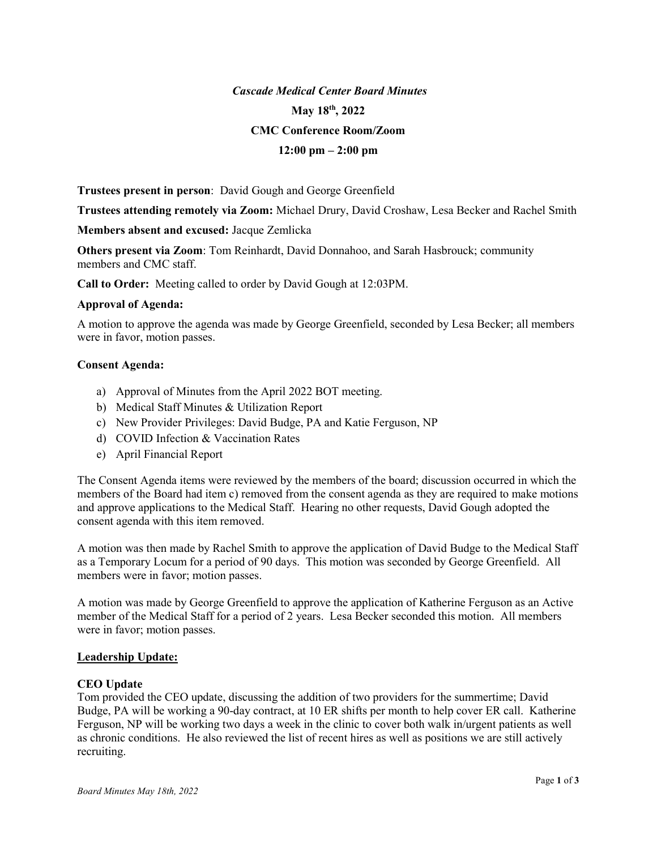# Cascade Medical Center Board Minutes May 18<sup>th</sup>, 2022 CMC Conference Room/Zoom  $12:00 \text{ pm} - 2:00 \text{ pm}$

Trustees present in person: David Gough and George Greenfield

Trustees attending remotely via Zoom: Michael Drury, David Croshaw, Lesa Becker and Rachel Smith

Members absent and excused: Jacque Zemlicka

Others present via Zoom: Tom Reinhardt, David Donnahoo, and Sarah Hasbrouck; community members and CMC staff.

Call to Order: Meeting called to order by David Gough at 12:03PM.

# Approval of Agenda:

A motion to approve the agenda was made by George Greenfield, seconded by Lesa Becker; all members were in favor, motion passes.

# Consent Agenda:

- a) Approval of Minutes from the April 2022 BOT meeting.
- b) Medical Staff Minutes & Utilization Report
- c) New Provider Privileges: David Budge, PA and Katie Ferguson, NP
- d) COVID Infection & Vaccination Rates
- e) April Financial Report

The Consent Agenda items were reviewed by the members of the board; discussion occurred in which the members of the Board had item c) removed from the consent agenda as they are required to make motions and approve applications to the Medical Staff. Hearing no other requests, David Gough adopted the consent agenda with this item removed.

A motion was then made by Rachel Smith to approve the application of David Budge to the Medical Staff as a Temporary Locum for a period of 90 days. This motion was seconded by George Greenfield. All members were in favor; motion passes.

A motion was made by George Greenfield to approve the application of Katherine Ferguson as an Active member of the Medical Staff for a period of 2 years. Lesa Becker seconded this motion. All members were in favor; motion passes.

#### Leadership Update:

#### CEO Update

Tom provided the CEO update, discussing the addition of two providers for the summertime; David Budge, PA will be working a 90-day contract, at 10 ER shifts per month to help cover ER call. Katherine Ferguson, NP will be working two days a week in the clinic to cover both walk in/urgent patients as well as chronic conditions. He also reviewed the list of recent hires as well as positions we are still actively recruiting.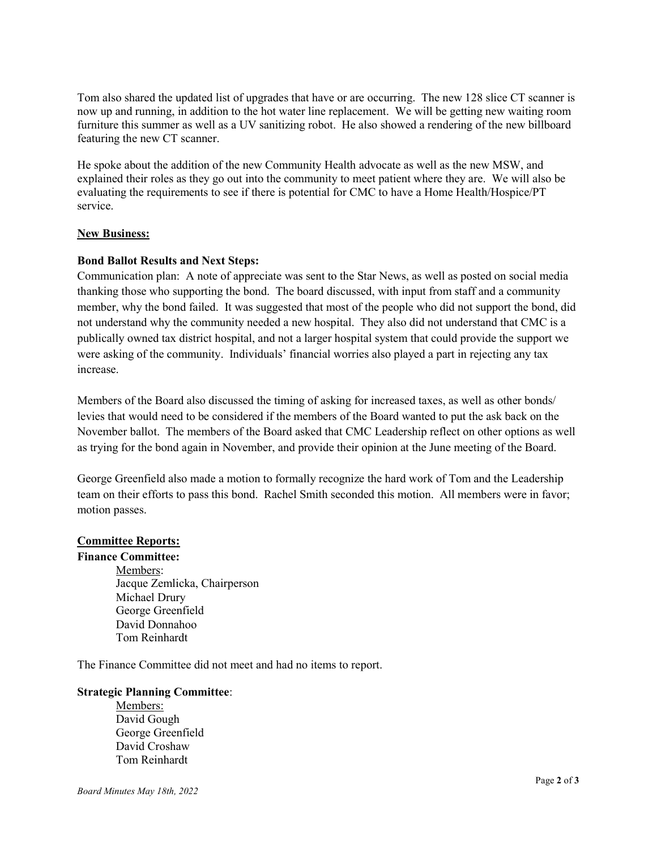Tom also shared the updated list of upgrades that have or are occurring. The new 128 slice CT scanner is now up and running, in addition to the hot water line replacement. We will be getting new waiting room furniture this summer as well as a UV sanitizing robot. He also showed a rendering of the new billboard featuring the new CT scanner.

He spoke about the addition of the new Community Health advocate as well as the new MSW, and explained their roles as they go out into the community to meet patient where they are. We will also be evaluating the requirements to see if there is potential for CMC to have a Home Health/Hospice/PT service.

# New Business:

# Bond Ballot Results and Next Steps:

Communication plan: A note of appreciate was sent to the Star News, as well as posted on social media thanking those who supporting the bond. The board discussed, with input from staff and a community member, why the bond failed. It was suggested that most of the people who did not support the bond, did not understand why the community needed a new hospital. They also did not understand that CMC is a publically owned tax district hospital, and not a larger hospital system that could provide the support we were asking of the community. Individuals' financial worries also played a part in rejecting any tax increase.

Members of the Board also discussed the timing of asking for increased taxes, as well as other bonds/ levies that would need to be considered if the members of the Board wanted to put the ask back on the November ballot. The members of the Board asked that CMC Leadership reflect on other options as well as trying for the bond again in November, and provide their opinion at the June meeting of the Board.

George Greenfield also made a motion to formally recognize the hard work of Tom and the Leadership team on their efforts to pass this bond. Rachel Smith seconded this motion. All members were in favor; motion passes.

# Committee Reports:

#### Finance Committee:

 Members: Jacque Zemlicka, Chairperson Michael Drury George Greenfield David Donnahoo Tom Reinhardt

The Finance Committee did not meet and had no items to report.

#### Strategic Planning Committee:

 Members: David Gough George Greenfield David Croshaw Tom Reinhardt